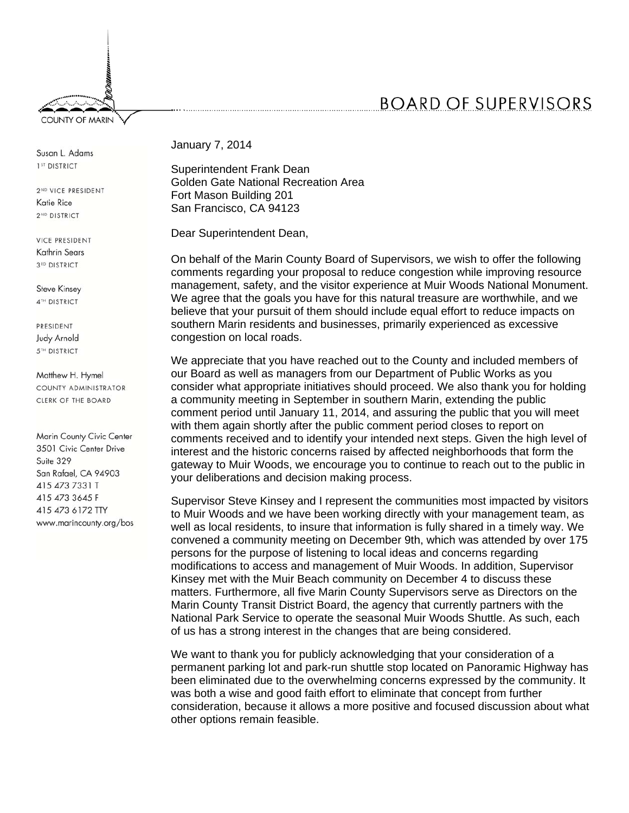## **BOARD OF SUPERVISORS**

Susan L. Adams 1<sup>ST</sup> DISTRICT

**COUNTY OF MARIN** 

2<sup>ND</sup> VICE PRESIDENT Katie Rice 2<sup>ND</sup> DISTRICT

**VICE PRESIDENT** Kathrin Sears 3<sup>RD</sup> DISTRICT

**Steve Kinsey** 4TH DISTRICT

PRESIDENT **Judy Arnold 5TH DISTRICT** 

Matthew H. Hymel COUNTY ADMINISTRATOR CLERK OF THE BOARD

Marin County Civic Center 3501 Civic Center Drive Suite 329 San Rafael, CA 94903 415 473 7331 T 415 473 3645 F 415 473 6172 TTY www.marincounty.org/bos January 7, 2014

Superintendent Frank Dean Golden Gate National Recreation Area Fort Mason Building 201 San Francisco, CA 94123

Dear Superintendent Dean,

On behalf of the Marin County Board of Supervisors, we wish to offer the following comments regarding your proposal to reduce congestion while improving resource management, safety, and the visitor experience at Muir Woods National Monument. We agree that the goals you have for this natural treasure are worthwhile, and we believe that your pursuit of them should include equal effort to reduce impacts on southern Marin residents and businesses, primarily experienced as excessive congestion on local roads.

We appreciate that you have reached out to the County and included members of our Board as well as managers from our Department of Public Works as you consider what appropriate initiatives should proceed. We also thank you for holding a community meeting in September in southern Marin, extending the public comment period until January 11, 2014, and assuring the public that you will meet with them again shortly after the public comment period closes to report on comments received and to identify your intended next steps. Given the high level of interest and the historic concerns raised by affected neighborhoods that form the gateway to Muir Woods, we encourage you to continue to reach out to the public in your deliberations and decision making process.

Supervisor Steve Kinsey and I represent the communities most impacted by visitors to Muir Woods and we have been working directly with your management team, as well as local residents, to insure that information is fully shared in a timely way. We convened a community meeting on December 9th, which was attended by over 175 persons for the purpose of listening to local ideas and concerns regarding modifications to access and management of Muir Woods. In addition, Supervisor Kinsey met with the Muir Beach community on December 4 to discuss these matters. Furthermore, all five Marin County Supervisors serve as Directors on the Marin County Transit District Board, the agency that currently partners with the National Park Service to operate the seasonal Muir Woods Shuttle. As such, each of us has a strong interest in the changes that are being considered.

We want to thank you for publicly acknowledging that your consideration of a permanent parking lot and park-run shuttle stop located on Panoramic Highway has been eliminated due to the overwhelming concerns expressed by the community. It was both a wise and good faith effort to eliminate that concept from further consideration, because it allows a more positive and focused discussion about what other options remain feasible.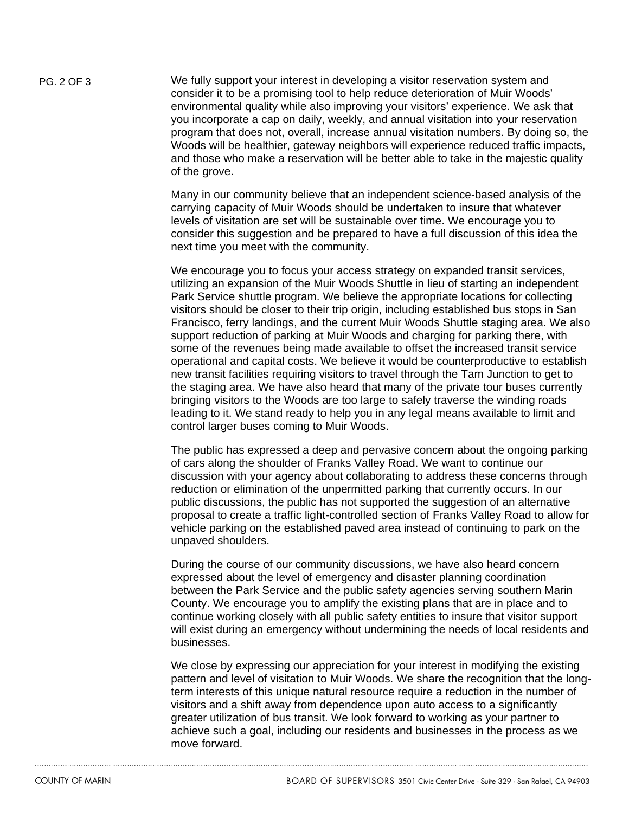PG. 2 OF 3 We fully support your interest in developing a visitor reservation system and consider it to be a promising tool to help reduce deterioration of Muir Woods' environmental quality while also improving your visitors' experience. We ask that you incorporate a cap on daily, weekly, and annual visitation into your reservation program that does not, overall, increase annual visitation numbers. By doing so, the Woods will be healthier, gateway neighbors will experience reduced traffic impacts, and those who make a reservation will be better able to take in the majestic quality of the grove.

> Many in our community believe that an independent science-based analysis of the carrying capacity of Muir Woods should be undertaken to insure that whatever levels of visitation are set will be sustainable over time. We encourage you to consider this suggestion and be prepared to have a full discussion of this idea the next time you meet with the community.

We encourage you to focus your access strategy on expanded transit services, utilizing an expansion of the Muir Woods Shuttle in lieu of starting an independent Park Service shuttle program. We believe the appropriate locations for collecting visitors should be closer to their trip origin, including established bus stops in San Francisco, ferry landings, and the current Muir Woods Shuttle staging area. We also support reduction of parking at Muir Woods and charging for parking there, with some of the revenues being made available to offset the increased transit service operational and capital costs. We believe it would be counterproductive to establish new transit facilities requiring visitors to travel through the Tam Junction to get to the staging area. We have also heard that many of the private tour buses currently bringing visitors to the Woods are too large to safely traverse the winding roads leading to it. We stand ready to help you in any legal means available to limit and control larger buses coming to Muir Woods.

The public has expressed a deep and pervasive concern about the ongoing parking of cars along the shoulder of Franks Valley Road. We want to continue our discussion with your agency about collaborating to address these concerns through reduction or elimination of the unpermitted parking that currently occurs. In our public discussions, the public has not supported the suggestion of an alternative proposal to create a traffic light-controlled section of Franks Valley Road to allow for vehicle parking on the established paved area instead of continuing to park on the unpaved shoulders.

During the course of our community discussions, we have also heard concern expressed about the level of emergency and disaster planning coordination between the Park Service and the public safety agencies serving southern Marin County. We encourage you to amplify the existing plans that are in place and to continue working closely with all public safety entities to insure that visitor support will exist during an emergency without undermining the needs of local residents and businesses.

We close by expressing our appreciation for your interest in modifying the existing pattern and level of visitation to Muir Woods. We share the recognition that the longterm interests of this unique natural resource require a reduction in the number of visitors and a shift away from dependence upon auto access to a significantly greater utilization of bus transit. We look forward to working as your partner to achieve such a goal, including our residents and businesses in the process as we move forward.